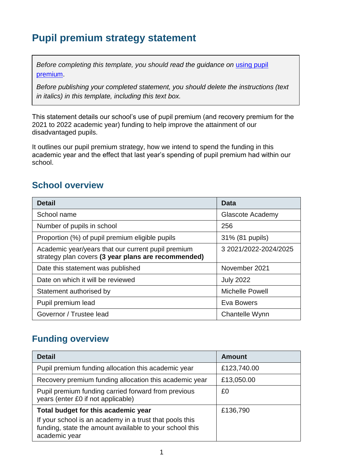# **Pupil premium strategy statement**

*Before completing this template, you should read the quidance on using pupil* [premium.](https://www.gov.uk/guidance/pupil-premium-effective-use-and-accountability#online-statements)

*Before publishing your completed statement, you should delete the instructions (text in italics) in this template, including this text box.*

This statement details our school's use of pupil premium (and recovery premium for the 2021 to 2022 academic year) funding to help improve the attainment of our disadvantaged pupils.

It outlines our pupil premium strategy, how we intend to spend the funding in this academic year and the effect that last year's spending of pupil premium had within our school.

## **School overview**

| <b>Detail</b>                                                                                             | <b>Data</b>            |
|-----------------------------------------------------------------------------------------------------------|------------------------|
| School name                                                                                               | Glascote Academy       |
| Number of pupils in school                                                                                | 256                    |
| Proportion (%) of pupil premium eligible pupils                                                           | 31% (81 pupils)        |
| Academic year/years that our current pupil premium<br>strategy plan covers (3 year plans are recommended) | 3 2021/2022-2024/2025  |
| Date this statement was published                                                                         | November 2021          |
| Date on which it will be reviewed                                                                         | <b>July 2022</b>       |
| Statement authorised by                                                                                   | <b>Michelle Powell</b> |
| Pupil premium lead                                                                                        | Eva Bowers             |
| Governor / Trustee lead                                                                                   | Chantelle Wynn         |

### **Funding overview**

| <b>Detail</b>                                                                                                                       | <b>Amount</b> |
|-------------------------------------------------------------------------------------------------------------------------------------|---------------|
| Pupil premium funding allocation this academic year                                                                                 | £123,740.00   |
| Recovery premium funding allocation this academic year                                                                              | £13,050.00    |
| Pupil premium funding carried forward from previous<br>years (enter £0 if not applicable)                                           | £0            |
| Total budget for this academic year                                                                                                 | £136,790      |
| If your school is an academy in a trust that pools this<br>funding, state the amount available to your school this<br>academic year |               |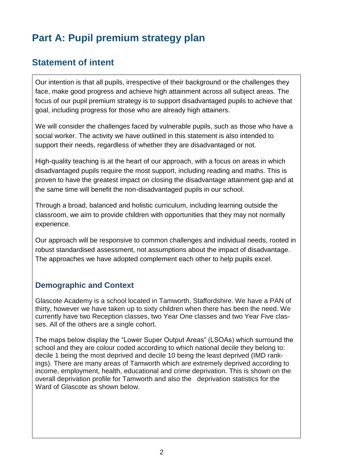# **Part A: Pupil premium strategy plan**

# **Statement of intent**

Our intention is that all pupils, irrespective of their background or the challenges they face, make good progress and achieve high attainment across all subject areas. The focus of our pupil premium strategy is to support disadvantaged pupils to achieve that goal, including progress for those who are already high attainers.

We will consider the challenges faced by vulnerable pupils, such as those who have a social worker. The activity we have outlined in this statement is also intended to support their needs, regardless of whether they are disadvantaged or not.

High-quality teaching is at the heart of our approach, with a focus on areas in which disadvantaged pupils require the most support, including reading and maths. This is proven to have the greatest impact on closing the disadvantage attainment gap and at the same time will benefit the non-disadvantaged pupils in our school.

Through a broad, balanced and holistic curriculum, including learning outside the classroom, we aim to provide children with opportunities that they may not normally experience.

Our approach will be responsive to common challenges and individual needs, rooted in robust standardised assessment, not assumptions about the impact of disadvantage. The approaches we have adopted complement each other to help pupils excel.

#### **Demographic and Context**

Glascote Academy is a school located in Tamworth, Staffordshire. We have a PAN of thirty, however we have taken up to sixty children when there has been the need. We currently have two Reception classes, two Year One classes and two Year Five classes. All of the others are a single cohort.

The maps below display the "Lower Super Output Areas" (LSOAs) which surround the school and they are colour coded according to which national decile they belong to: decile 1 being the most deprived and decile 10 being the least deprived (IMD rankings). There are many areas of Tamworth which are extremely deprived according to income, employment, health, educational and crime deprivation. This is shown on the overall deprivation profile for Tamworth and also the deprivation statistics for the Ward of Glascote as shown below.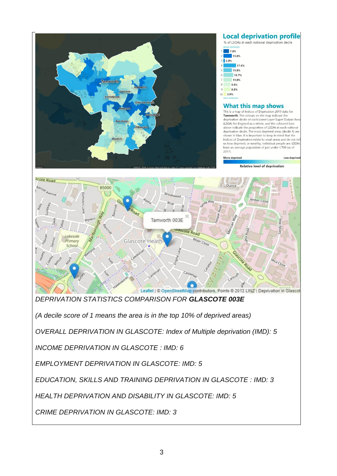

*HEALTH DEPRIVATION AND DISABILITY IN GLASCOTE: IMD: 5*

*CRIME DEPRIVATION IN GLASCOTE: IMD: 3*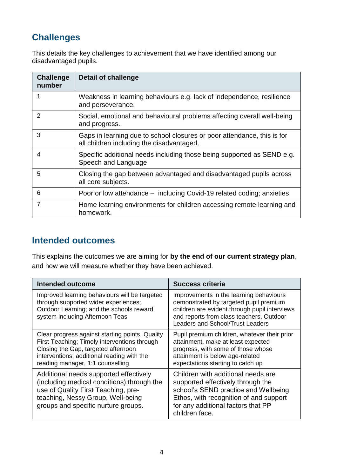# **Challenges**

This details the key challenges to achievement that we have identified among our disadvantaged pupils.

| <b>Challenge</b><br>number | <b>Detail of challenge</b>                                                                                           |
|----------------------------|----------------------------------------------------------------------------------------------------------------------|
|                            | Weakness in learning behaviours e.g. lack of independence, resilience<br>and perseverance.                           |
| 2                          | Social, emotional and behavioural problems affecting overall well-being<br>and progress.                             |
| 3                          | Gaps in learning due to school closures or poor attendance, this is for<br>all children including the disadvantaged. |
| 4                          | Specific additional needs including those being supported as SEND e.g.<br>Speech and Language                        |
| 5                          | Closing the gap between advantaged and disadvantaged pupils across<br>all core subjects.                             |
| 6                          | Poor or low attendance – including Covid-19 related coding; anxieties                                                |
| 7                          | Home learning environments for children accessing remote learning and<br>homework.                                   |

## **Intended outcomes**

This explains the outcomes we are aiming for **by the end of our current strategy plan**, and how we will measure whether they have been achieved.

| Intended outcome                                                                                                                                                                                                         | <b>Success criteria</b>                                                                                                                                                                                                   |
|--------------------------------------------------------------------------------------------------------------------------------------------------------------------------------------------------------------------------|---------------------------------------------------------------------------------------------------------------------------------------------------------------------------------------------------------------------------|
| Improved learning behaviours will be targeted<br>through supported wider experiences;<br>Outdoor Learning; and the schools reward<br>system including Afternoon Teas                                                     | Improvements in the learning behaviours<br>demonstrated by targeted pupil premium<br>children are evident through pupil interviews<br>and reports from class teachers, Outdoor<br><b>Leaders and School/Trust Leaders</b> |
| Clear progress against starting points. Quality<br>First Teaching; Timely interventions through<br>Closing the Gap, targeted afternoon<br>interventions, additional reading with the<br>reading manager, 1:1 counselling | Pupil premium children, whatever their prior<br>attainment, make at least expected<br>progress, with some of those whose<br>attainment is below age-related<br>expectations starting to catch up                          |
| Additional needs supported effectively<br>(including medical conditions) through the<br>use of Quality First Teaching, pre-<br>teaching, Nessy Group, Well-being<br>groups and specific nurture groups.                  | Children with additional needs are<br>supported effectively through the<br>school's SEND practice and Wellbeing<br>Ethos, with recognition of and support<br>for any additional factors that PP<br>children face.         |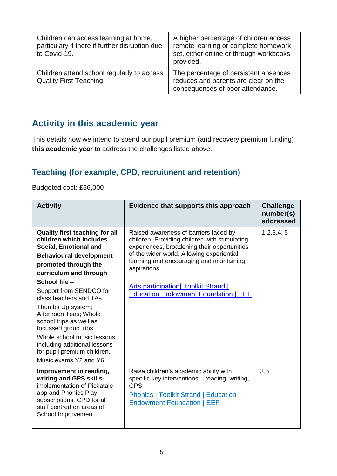| Children can access learning at home,<br>particulary if there if further disruption due<br>to Covid-19. | A higher percentage of children access<br>remote learning or complete homework<br>set, either online or through workbooks<br>provided. |
|---------------------------------------------------------------------------------------------------------|----------------------------------------------------------------------------------------------------------------------------------------|
| Children attend school regularly to access<br><b>Quality First Teaching.</b>                            | The percentage of persistent absences<br>reduces and parents are clear on the<br>consequences of poor attendance.                      |

# **Activity in this academic year**

This details how we intend to spend our pupil premium (and recovery premium funding) **this academic year** to address the challenges listed above.

### **Teaching (for example, CPD, recruitment and retention)**

Budgeted cost: £56,000

| <b>Activity</b>                                                                                                                                                                                                                                                                                                                                                                                                                                                              | Evidence that supports this approach                                                                                                                                                                                                                                                                                                        | <b>Challenge</b><br>number(s)<br>addressed |
|------------------------------------------------------------------------------------------------------------------------------------------------------------------------------------------------------------------------------------------------------------------------------------------------------------------------------------------------------------------------------------------------------------------------------------------------------------------------------|---------------------------------------------------------------------------------------------------------------------------------------------------------------------------------------------------------------------------------------------------------------------------------------------------------------------------------------------|--------------------------------------------|
| <b>Quality first teaching for all</b><br>children which includes<br>Social, Emotional and<br><b>Behavioural development</b><br>promoted through the<br>curriculum and through<br>School life -<br>Support from SENDCO for<br>class teachers and TAs.<br>Thumbs Up system;<br>Afternoon Teas; Whole<br>school trips as well as<br>focussed group trips.<br>Whole school music lessons<br>including additional lessons<br>for pupil premium children.<br>Music exams Y2 and Y6 | Raised awareness of barriers faced by<br>children. Providing children with stimulating<br>experiences, broadening their opportunities<br>of the wider world. Allowing experiential<br>learning and encouraging and maintaining<br>aspirations.<br><b>Arts participation Toolkit Strand  </b><br><b>Education Endowment Foundation   EEF</b> | 1, 2, 3, 4, 5                              |
| Improvement in reading,<br>writing and GPS skills-<br>implementation of Pickatale<br>app and Phonics Play<br>subscriptions. CPD for all<br>staff centred on areas of<br>School Improvement.                                                                                                                                                                                                                                                                                  | Raise children's academic ability with<br>specific key interventions – reading, writing,<br><b>GPS</b><br><b>Phonics   Toolkit Strand   Education</b><br><b>Endowment Foundation   EEF</b>                                                                                                                                                  | 3,5                                        |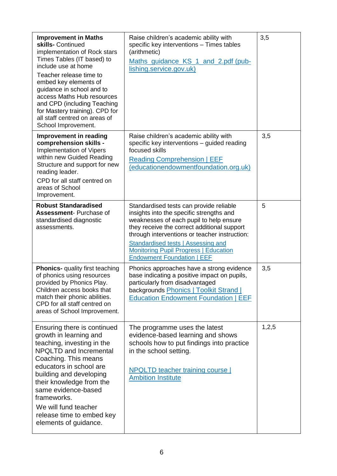| <b>Improvement in Maths</b><br>skills- Continued<br>implementation of Rock stars<br>Times Tables (IT based) to<br>include use at home<br>Teacher release time to<br>embed key elements of<br>guidance in school and to<br>access Maths Hub resources<br>and CPD (including Teaching<br>for Mastery training). CPD for<br>all staff centred on areas of<br>School Improvement. | Raise children's academic ability with<br>specific key interventions - Times tables<br>(arithmetic)<br>Maths guidance KS 1 and 2.pdf (pub-<br>lishing.service.gov.uk)                                                                                                                                                                                     | 3,5   |
|-------------------------------------------------------------------------------------------------------------------------------------------------------------------------------------------------------------------------------------------------------------------------------------------------------------------------------------------------------------------------------|-----------------------------------------------------------------------------------------------------------------------------------------------------------------------------------------------------------------------------------------------------------------------------------------------------------------------------------------------------------|-------|
| Improvement in reading<br>comprehension skills -<br>Implementation of Vipers<br>within new Guided Reading<br>Structure and support for new<br>reading leader.<br>CPD for all staff centred on<br>areas of School<br>Improvement.                                                                                                                                              | Raise children's academic ability with<br>specific key interventions - guided reading<br>focused skills<br><b>Reading Comprehension   EEF</b><br>(educationendowmentfoundation.org.uk)                                                                                                                                                                    | 3,5   |
| <b>Robust Standaradised</b><br><b>Assessment- Purchase of</b><br>standardised diagnostic<br>assessments.                                                                                                                                                                                                                                                                      | Standardised tests can provide reliable<br>insights into the specific strengths and<br>weaknesses of each pupil to help ensure<br>they receive the correct additional support<br>through interventions or teacher instruction:<br>Standardised tests   Assessing and<br><b>Monitoring Pupil Progress   Education</b><br><b>Endowment Foundation   EEF</b> | 5     |
| <b>Phonics-</b> quality first teaching<br>of phonics using resources<br>provided by Phonics Play.<br>Children access books that<br>match their phonic abilities.<br>CPD for all staff centred on<br>areas of School Improvement.                                                                                                                                              | Phonics approaches have a strong evidence<br>base indicating a positive impact on pupils,<br>particularly from disadvantaged<br>backgrounds <b>Phonics   Toolkit Strand  </b><br><b>Education Endowment Foundation   EEF</b>                                                                                                                              | 3,5   |
| Ensuring there is continued<br>growth in learning and<br>teaching, investing in the<br><b>NPQLTD and Incremental</b><br>Coaching. This means<br>educators in school are<br>building and developing<br>their knowledge from the<br>same evidence-based<br>frameworks.<br>We will fund teacher<br>release time to embed key<br>elements of guidance.                            | The programme uses the latest<br>evidence-based learning and shows<br>schools how to put findings into practice<br>in the school setting.<br><b>NPQLTD teacher training course</b><br><b>Ambition Institute</b>                                                                                                                                           | 1,2,5 |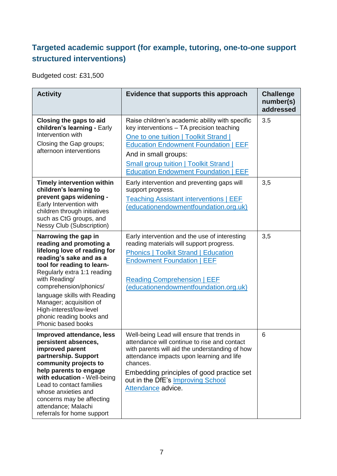### **Targeted academic support (for example, tutoring, one-to-one support structured interventions)**

Budgeted cost: £31,500

| <b>Activity</b>                                                                                                                                                                                                                                                                                                                                            | Evidence that supports this approach                                                                                                                                                                                                                                                                          | <b>Challenge</b><br>number(s)<br>addressed |
|------------------------------------------------------------------------------------------------------------------------------------------------------------------------------------------------------------------------------------------------------------------------------------------------------------------------------------------------------------|---------------------------------------------------------------------------------------------------------------------------------------------------------------------------------------------------------------------------------------------------------------------------------------------------------------|--------------------------------------------|
| Closing the gaps to aid<br>children's learning - Early<br>Intervention with<br>Closing the Gap groups;<br>afternoon interventions                                                                                                                                                                                                                          | Raise children's academic ability with specific<br>key interventions - TA precision teaching<br>One to one tuition   Toolkit Strand  <br><b>Education Endowment Foundation   EEF</b><br>And in small groups:<br><b>Small group tuition   Toolkit Strand  </b><br><b>Education Endowment Foundation   EEF</b>  | 3.5                                        |
| <b>Timely intervention within</b><br>children's learning to<br>prevent gaps widening -<br>Early Intervention with<br>children through initiatives<br>such as CtG groups, and<br><b>Nessy Club (Subscription)</b>                                                                                                                                           | Early intervention and preventing gaps will<br>support progress.<br><b>Teaching Assistant interventions   EEF</b><br>(educationendowmentfoundation.org.uk)                                                                                                                                                    | 3,5                                        |
| Narrowing the gap in<br>reading and promoting a<br>lifelong love of reading for<br>reading's sake and as a<br>tool for reading to learn-<br>Regularly extra 1:1 reading<br>with Reading/<br>comprehension/phonics/<br>language skills with Reading<br>Manager; acquisition of<br>High-interest/low-level<br>phonic reading books and<br>Phonic based books | Early intervention and the use of interesting<br>reading materials will support progress.<br><b>Phonics   Toolkit Strand   Education</b><br><b>Endowment Foundation   EEF</b><br><b>Reading Comprehension   EEF</b><br>(educationendowmentfoundation.org.uk)                                                  | 3,5                                        |
| Improved attendance, less<br>persistent absences,<br>improved parent<br>partnership. Support<br>community projects to<br>help parents to engage<br>with education - Well-being<br>Lead to contact families<br>whose anxieties and<br>concerns may be affecting<br>attendance; Malachi<br>referrals for home support                                        | Well-being Lead will ensure that trends in<br>attendance will continue to rise and contact<br>with parents will aid the understanding of how<br>attendance impacts upon learning and life<br>chances.<br>Embedding principles of good practice set<br>out in the DfE's Improving School<br>Attendance advice. | 6                                          |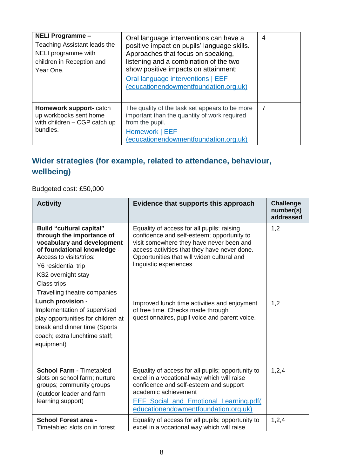| <b>NELI Programme -</b><br>Teaching Assistant leads the<br>NELI programme with<br>children in Reception and<br>Year One. | Oral language interventions can have a<br>positive impact on pupils' language skills.<br>Approaches that focus on speaking,<br>listening and a combination of the two<br>show positive impacts on attainment:<br>Oral language interventions   EEF<br>(educationendowmentfoundation.org.uk) | $\overline{4}$ |
|--------------------------------------------------------------------------------------------------------------------------|---------------------------------------------------------------------------------------------------------------------------------------------------------------------------------------------------------------------------------------------------------------------------------------------|----------------|
| Homework support-catch<br>up workbooks sent home<br>with children - CGP catch up<br>bundles.                             | The quality of the task set appears to be more<br>important than the quantity of work required<br>from the pupil.<br>Homework   EEF<br>(educationendowmentfoundation.org.uk)                                                                                                                | 7              |

# **Wider strategies (for example, related to attendance, behaviour, wellbeing)**

Budgeted cost: £50,000

| <b>Activity</b>                                                                                                                                                                                                                                  | Evidence that supports this approach                                                                                                                                                                                                                         | <b>Challenge</b><br>number(s)<br>addressed |
|--------------------------------------------------------------------------------------------------------------------------------------------------------------------------------------------------------------------------------------------------|--------------------------------------------------------------------------------------------------------------------------------------------------------------------------------------------------------------------------------------------------------------|--------------------------------------------|
| <b>Build "cultural capital"</b><br>through the importance of<br>vocabulary and development<br>of foundational knowledge -<br>Access to visits/trips:<br>Y6 residential trip<br>KS2 overnight stay<br>Class trips<br>Travelling theatre companies | Equality of access for all pupils; raising<br>confidence and self-esteem; opportunity to<br>visit somewhere they have never been and<br>access activities that they have never done.<br>Opportunities that will widen cultural and<br>linguistic experiences | 1,2                                        |
| Lunch provision -<br>Implementation of supervised<br>play opportunities for children at<br>break and dinner time (Sports<br>coach; extra lunchtime staff;<br>equipment)                                                                          | Improved lunch time activities and enjoyment<br>of free time. Checks made through<br>questionnaires, pupil voice and parent voice.                                                                                                                           | 1,2                                        |
| <b>School Farm - Timetabled</b><br>slots on school farm; nurture<br>groups; community groups<br>(outdoor leader and farm<br>learning support)                                                                                                    | Equality of access for all pupils; opportunity to<br>excel in a vocational way which will raise<br>confidence and self-esteem and support<br>academic achievement<br>EEF_Social_and_Emotional_Learning.pdf(<br>educationendowmentfoundation.org.uk)          | 1,2,4                                      |
| <b>School Forest area -</b><br>Timetabled slots on in forest                                                                                                                                                                                     | Equality of access for all pupils; opportunity to<br>excel in a vocational way which will raise                                                                                                                                                              | 1,2,4                                      |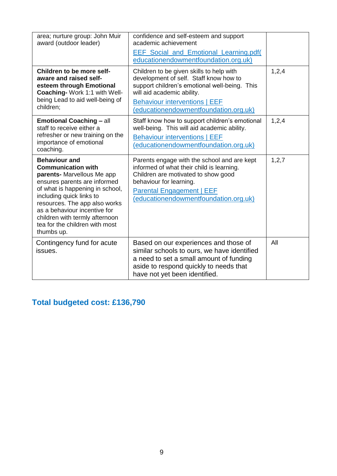| area; nurture group: John Muir<br>award (outdoor leader)                                                                                                                    | confidence and self-esteem and support<br>academic achievement<br><b>EEF Social and Emotional Learning.pdf</b><br>educationendowmentfoundation.org.uk)                                                                                             |         |
|-----------------------------------------------------------------------------------------------------------------------------------------------------------------------------|----------------------------------------------------------------------------------------------------------------------------------------------------------------------------------------------------------------------------------------------------|---------|
| Children to be more self-<br>aware and raised self-<br>esteem through Emotional<br>Coaching-Work 1:1 with Well-<br>being Lead to aid well-being of<br>children;             | Children to be given skills to help with<br>development of self. Staff know how to<br>support children's emotional well-being. This<br>will aid academic ability.<br><b>Behaviour interventions   EEF</b><br>(educationendowmentfoundation.org.uk) | 1,2,4   |
| <b>Emotional Coaching - all</b><br>staff to receive either a<br>refresher or new training on the<br>importance of emotional<br>coaching.                                    | Staff know how to support children's emotional<br>well-being. This will aid academic ability.<br><b>Behaviour interventions   EEF</b><br>(educationendowmentfoundation.org.uk)                                                                     | 1,2,4   |
| <b>Behaviour and</b><br><b>Communication with</b><br>parents- Marvellous Me app<br>ensures parents are informed<br>of what is happening in school,                          | Parents engage with the school and are kept<br>informed of what their child is learning.<br>Children are motivated to show good<br>behaviour for learning.                                                                                         | 1, 2, 7 |
| including quick links to<br>resources. The app also works<br>as a behaviour incentive for<br>children with termly afternoon<br>tea for the children with most<br>thumbs up. | <b>Parental Engagement   EEF</b><br>(educationendowmentfoundation.org.uk)                                                                                                                                                                          |         |

# **Total budgeted cost: £136,790**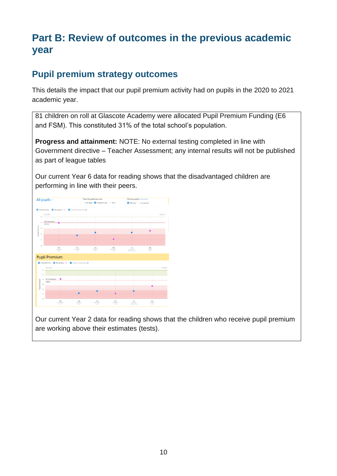# **Part B: Review of outcomes in the previous academic year**

## **Pupil premium strategy outcomes**

This details the impact that our pupil premium activity had on pupils in the 2020 to 2021 academic year.

81 children on roll at Glascote Academy were allocated Pupil Premium Funding (E6 and FSM). This constituted 31% of the total school's population.

**Progress and attainment:** NOTE: No external testing completed in line with Government directive – Teacher Assessment; any internal results will not be published as part of league tables

Our current Year 6 data for reading shows that the disadvantaged children are performing in line with their peers.

|                              | All pupils $\vee$                     |                    | View the pathway over              |                       | Choose pupils (what's this?) |                        |          |  |
|------------------------------|---------------------------------------|--------------------|------------------------------------|-----------------------|------------------------------|------------------------|----------|--|
|                              |                                       |                    | ◯ Key stage Ø Academic year ◯ Term |                       | Matched Unmatched            |                        |          |  |
|                              |                                       |                    |                                    |                       |                              |                        |          |  |
| All tests & TAs              | V Rising Stars + M Teacher Assessment |                    |                                    |                       |                              |                        |          |  |
| Dec 2020                     |                                       |                    |                                    |                       |                              |                        | Jul 2021 |  |
| 116                          |                                       |                    |                                    |                       |                              |                        |          |  |
| FFT 5 Benchmark<br>112       |                                       |                    |                                    |                       |                              |                        |          |  |
| 111.9                        |                                       |                    |                                    |                       |                              |                        |          |  |
| 110                          |                                       |                    |                                    |                       |                              |                        |          |  |
|                              |                                       |                    |                                    |                       |                              |                        |          |  |
| 100                          |                                       |                    |                                    |                       |                              |                        |          |  |
| 106                          |                                       |                    |                                    |                       |                              |                        |          |  |
|                              |                                       |                    |                                    |                       |                              |                        |          |  |
| 104                          |                                       | TA                 | TA                                 | <b>RS</b>             | TA                           | <b>RS</b>              |          |  |
|                              | RS<br>(1)                             | Dec 2020<br>(2)    | Mar 2021<br>(3)                    | Mar 2021<br>(4)       | Ad 2021<br>(5) SHECTED       | <b>Jul 2021</b><br>(6) |          |  |
|                              |                                       |                    |                                    |                       |                              |                        |          |  |
| <b>Pupil Premium</b>         |                                       |                    |                                    |                       |                              |                        |          |  |
|                              | All tests & TAs 2 Rising Stars +      | Teacher Assessment |                                    |                       |                              |                        |          |  |
|                              |                                       |                    |                                    |                       |                              |                        |          |  |
| Dec 2020<br>114              |                                       |                    |                                    |                       |                              |                        | Jul 2021 |  |
|                              |                                       |                    |                                    |                       |                              |                        |          |  |
| 113                          |                                       |                    |                                    |                       |                              |                        |          |  |
| FFT 5 Benchmark<br>133       |                                       |                    |                                    |                       |                              |                        |          |  |
| Scaled Score<br>109.6<br>108 |                                       |                    |                                    |                       |                              |                        |          |  |
|                              |                                       |                    |                                    |                       |                              |                        |          |  |
| 106                          |                                       |                    |                                    |                       |                              |                        |          |  |
|                              |                                       |                    |                                    |                       |                              |                        |          |  |
| w                            |                                       |                    |                                    |                       |                              |                        |          |  |
|                              |                                       |                    |                                    |                       |                              |                        |          |  |
| 102                          | RS<br>Dec 2020                        | $T_A$              | $\frac{TA}{Mv \cdot 2021}$         | <b>RS</b><br>Mor 2021 | $\overline{A}$               | RS <sub>1412021</sub>  |          |  |

Our current Year 2 data for reading shows that the children who receive pupil premium are working above their estimates (tests).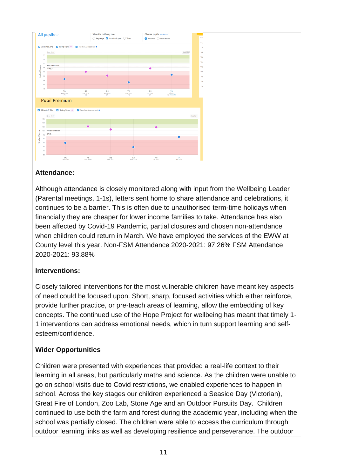

#### **Attendance:**

Although attendance is closely monitored along with input from the Wellbeing Leader (Parental meetings, 1-1s), letters sent home to share attendance and celebrations, it continues to be a barrier. This is often due to unauthorised term-time holidays when financially they are cheaper for lower income families to take. Attendance has also been affected by Covid-19 Pandemic, partial closures and chosen non-attendance when children could return in March. We have employed the services of the EWW at County level this year. Non-FSM Attendance 2020-2021: 97.26% FSM Attendance 2020-2021: 93.88%

#### **Interventions:**

Closely tailored interventions for the most vulnerable children have meant key aspects of need could be focused upon. Short, sharp, focused activities which either reinforce, provide further practice, or pre-teach areas of learning, allow the embedding of key concepts. The continued use of the Hope Project for wellbeing has meant that timely 1- 1 interventions can address emotional needs, which in turn support learning and selfesteem/confidence.

#### **Wider Opportunities**

Children were presented with experiences that provided a real-life context to their learning in all areas, but particularly maths and science. As the children were unable to go on school visits due to Covid restrictions, we enabled experiences to happen in school. Across the key stages our children experienced a Seaside Day (Victorian), Great Fire of London, Zoo Lab, Stone Age and an Outdoor Pursuits Day. Children continued to use both the farm and forest during the academic year, including when the school was partially closed. The children were able to access the curriculum through outdoor learning links as well as developing resilience and perseverance. The outdoor